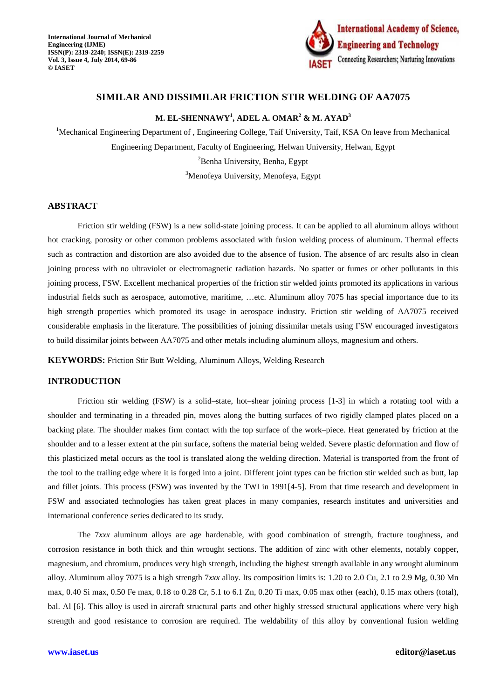

# **SIMILAR AND DISSIMILAR FRICTION STIR WELDING OF AA7075**

# **M. EL-SHENNAWY<sup>1</sup> , ADEL A. OMAR<sup>2</sup> & M. AYAD<sup>3</sup>**

<sup>1</sup>Mechanical Engineering Department of, Engineering College, Taif University, Taif, KSA On leave from Mechanical Engineering Department, Faculty of Engineering, Helwan University, Helwan, Egypt  ${}^{2}$ Benha University, Benha, Egypt <sup>3</sup>Menofeya University, Menofeya, Egypt

## **ABSTRACT**

Friction stir welding (FSW) is a new solid-state joining process. It can be applied to all aluminum alloys without hot cracking, porosity or other common problems associated with fusion welding process of aluminum. Thermal effects such as contraction and distortion are also avoided due to the absence of fusion. The absence of arc results also in clean joining process with no ultraviolet or electromagnetic radiation hazards. No spatter or fumes or other pollutants in this joining process, FSW. Excellent mechanical properties of the friction stir welded joints promoted its applications in various industrial fields such as aerospace, automotive, maritime, …etc. Aluminum alloy 7075 has special importance due to its high strength properties which promoted its usage in aerospace industry. Friction stir welding of AA7075 received considerable emphasis in the literature. The possibilities of joining dissimilar metals using FSW encouraged investigators to build dissimilar joints between AA7075 and other metals including aluminum alloys, magnesium and others.

**KEYWORDS:** Friction Stir Butt Welding, Aluminum Alloys, Welding Research

## **INTRODUCTION**

Friction stir welding (FSW) is a solid–state, hot–shear joining process [1-3] in which a rotating tool with a shoulder and terminating in a threaded pin, moves along the butting surfaces of two rigidly clamped plates placed on a backing plate. The shoulder makes firm contact with the top surface of the work–piece. Heat generated by friction at the shoulder and to a lesser extent at the pin surface, softens the material being welded. Severe plastic deformation and flow of this plasticized metal occurs as the tool is translated along the welding direction. Material is transported from the front of the tool to the trailing edge where it is forged into a joint. Different joint types can be friction stir welded such as butt, lap and fillet joints. This process (FSW) was invented by the TWI in 1991[4-5]. From that time research and development in FSW and associated technologies has taken great places in many companies, research institutes and universities and international conference series dedicated to its study.

The 7*xxx* aluminum alloys are age hardenable, with good combination of strength, fracture toughness, and corrosion resistance in both thick and thin wrought sections. The addition of zinc with other elements, notably copper, magnesium, and chromium, produces very high strength, including the highest strength available in any wrought aluminum alloy. Aluminum alloy 7075 is a high strength 7*xxx* alloy. Its composition limits is: 1.20 to 2.0 Cu, 2.1 to 2.9 Mg, 0.30 Mn max, 0.40 Si max, 0.50 Fe max, 0.18 to 0.28 Cr, 5.1 to 6.1 Zn, 0.20 Ti max, 0.05 max other (each), 0.15 max others (total), bal. Al [6]. This alloy is used in aircraft structural parts and other highly stressed structural applications where very high strength and good resistance to corrosion are required. The weldability of this alloy by conventional fusion welding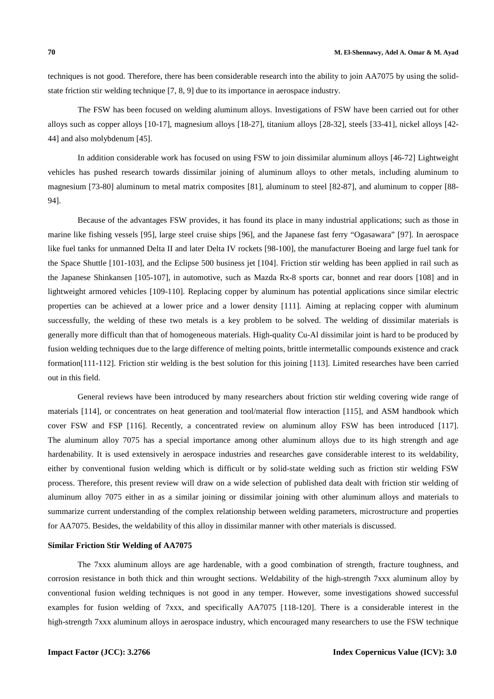techniques is not good. Therefore, there has been considerable research into the ability to join AA7075 by using the solidstate friction stir welding technique [7, 8, 9] due to its importance in aerospace industry.

The FSW has been focused on welding aluminum alloys. Investigations of FSW have been carried out for other alloys such as copper alloys [10-17], magnesium alloys [18-27], titanium alloys [28-32], steels [33-41], nickel alloys [42- 44] and also molybdenum [45].

In addition considerable work has focused on using FSW to join dissimilar aluminum alloys [46-72] Lightweight vehicles has pushed research towards dissimilar joining of aluminum alloys to other metals, including aluminum to magnesium [73-80] aluminum to metal matrix composites [81], aluminum to steel [82-87], and aluminum to copper [88- 94].

Because of the advantages FSW provides, it has found its place in many industrial applications; such as those in marine like fishing vessels [95], large steel cruise ships [96], and the Japanese fast ferry "Ogasawara" [97]. In aerospace like fuel tanks for unmanned Delta II and later Delta IV rockets [98-100], the manufacturer Boeing and large fuel tank for the Space Shuttle [101-103], and the Eclipse 500 business jet [104]. Friction stir welding has been applied in rail such as the Japanese Shinkansen [105-107], in automotive, such as Mazda Rx-8 sports car, bonnet and rear doors [108] and in lightweight armored vehicles [109-110]. Replacing copper by aluminum has potential applications since similar electric properties can be achieved at a lower price and a lower density [111]. Aiming at replacing copper with aluminum successfully, the welding of these two metals is a key problem to be solved. The welding of dissimilar materials is generally more difficult than that of homogeneous materials. High-quality Cu-Al dissimilar joint is hard to be produced by fusion welding techniques due to the large difference of melting points, brittle intermetallic compounds existence and crack formation[111-112]. Friction stir welding is the best solution for this joining [113]. Limited researches have been carried out in this field.

General reviews have been introduced by many researchers about friction stir welding covering wide range of materials [114], or concentrates on heat generation and tool/material flow interaction [115], and ASM handbook which cover FSW and FSP [116]. Recently, a concentrated review on aluminum alloy FSW has been introduced [117]. The aluminum alloy 7075 has a special importance among other aluminum alloys due to its high strength and age hardenability. It is used extensively in aerospace industries and researches gave considerable interest to its weldability, either by conventional fusion welding which is difficult or by solid-state welding such as friction stir welding FSW process. Therefore, this present review will draw on a wide selection of published data dealt with friction stir welding of aluminum alloy 7075 either in as a similar joining or dissimilar joining with other aluminum alloys and materials to summarize current understanding of the complex relationship between welding parameters, microstructure and properties for AA7075. Besides, the weldability of this alloy in dissimilar manner with other materials is discussed.

## **Similar Friction Stir Welding of AA7075**

The 7xxx aluminum alloys are age hardenable, with a good combination of strength, fracture toughness, and corrosion resistance in both thick and thin wrought sections. Weldability of the high-strength 7xxx aluminum alloy by conventional fusion welding techniques is not good in any temper. However, some investigations showed successful examples for fusion welding of 7xxx, and specifically AA7075 [118-120]. There is a considerable interest in the high-strength 7xxx aluminum alloys in aerospace industry, which encouraged many researchers to use the FSW technique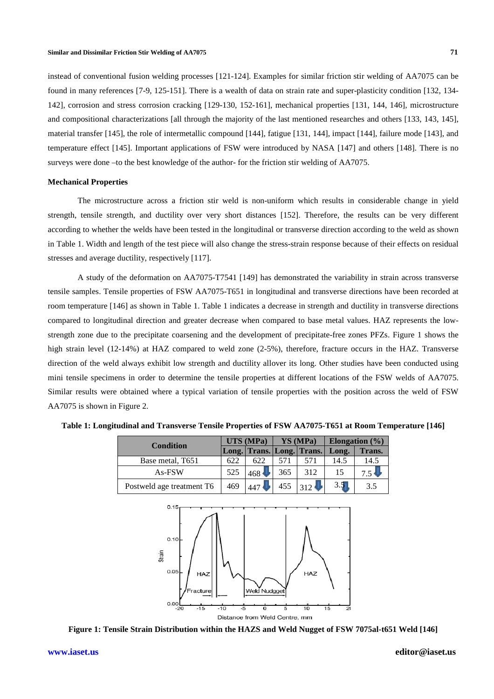instead of conventional fusion welding processes [121-124]. Examples for similar friction stir welding of AA7075 can be found in many references [7-9, 125-151]. There is a wealth of data on strain rate and super-plasticity condition [132, 134-142], corrosion and stress corrosion cracking [129-130, 152-161], mechanical properties [131, 144, 146], microstructure and compositional characterizations [all through the majority of the last mentioned researches and others [133, 143, 145], material transfer [145], the role of intermetallic compound [144], fatigue [131, 144], impact [144], failure mode [143], and temperature effect [145]. Important applications of FSW were introduced by NASA [147] and others [148]. There is no surveys were done -to the best knowledge of the author- for the friction stir welding of AA7075.

### **Mechanical Properties**

The microstructure across a friction stir weld is non-uniform which results in considerable change in yield strength, tensile strength, and ductility over very short distances [152]. Therefore, the results can be very different according to whether the welds have been tested in the longitudinal or transverse direction according to the weld as shown in Table 1. Width and length of the test piece will also change the stress-strain response because of their effects on residual stresses and average ductility, respectively [117].

A study of the deformation on AA7075-T7541 [149] has demonstrated the variability in strain across transverse tensile samples. Tensile properties of FSW AA7075-T651 in longitudinal and transverse directions have been recorded at room temperature [146] as shown in Table 1. Table 1 indicates a decrease in strength and ductility in transverse directions compared to longitudinal direction and greater decrease when compared to base metal values. HAZ represents the lowstrength zone due to the precipitate coarsening and the development of precipitate-free zones PFZs. Figure 1 shows the high strain level (12-14%) at HAZ compared to weld zone (2-5%), therefore, fracture occurs in the HAZ. Transverse direction of the weld always exhibit low strength and ductility allover its long. Other studies have been conducted using mini tensile specimens in order to determine the tensile properties at different locations of the FSW welds of AA7075. Similar results were obtained where a typical variation of tensile properties with the position across the weld of FSW AA7075 is shown in Figure 2.

| <b>Condition</b>          | UTS (MPa) |                           | YS (MPa) |               | Elongation $(\% )$ |                           |
|---------------------------|-----------|---------------------------|----------|---------------|--------------------|---------------------------|
|                           |           | Long. Trans. Long. Trans. |          |               | Long.              | Trans.                    |
| Base metal, T651          | 622       | 622                       | 571      | 571           | 14.5               | 14.5                      |
| As-FSW                    | 525       | 468                       | 365      | 312           | 15                 | $7.5 \blacktriangleright$ |
| Postweld age treatment T6 | 469       | 447                       | 455      | $312 \bullet$ | 3.5                | 3.5                       |

**Table 1: Longitudinal and Transverse Transverse Tensile Properties of FSW AA7075-T651 at Room Room Temperature [146]**



**Figure 1: Tensile Strain Distribution within the HAZS and Weld Nugget of FSW 7075al 7075al-t651 Weld [146]**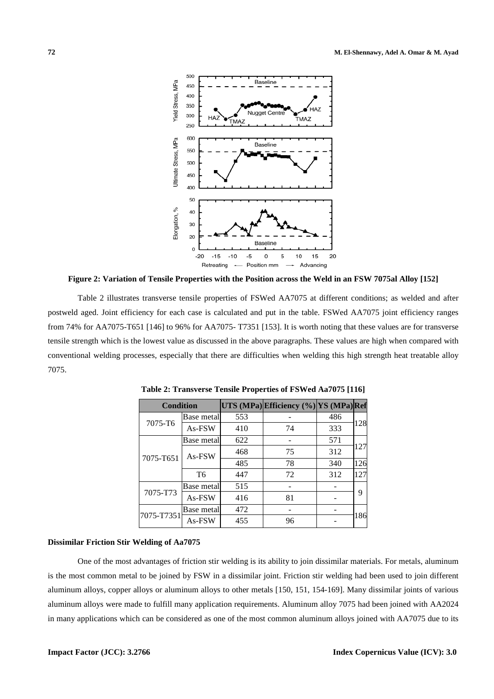

**Figure 2: Variation of Tensile Properties with the Position across the Weld in an FSW 7075al Alloy [152]**

Table 2 illustrates transverse tensile properties of FSWed AA7075 at different conditions; as welded and after postweld aged. Joint efficiency for each case is calculated and put in the table. FSWed AA7075 joint efficiency ranges from 74% for AA7075-T651 [146] to 96% for AA7075- T7351 [153]. It is worth noting that these values are for transverse tensile strength which is the lowest value as discussed in the above paragraphs. These values are high when compared with conventional welding processes, especially that there are difficulties when welding this high strength heat treatable alloy 7075.

| <b>Condition</b> |                    |     | UTS (MPa) Efficiency (%) YS (MPa) Ref |     |     |  |
|------------------|--------------------|-----|---------------------------------------|-----|-----|--|
| 7075-T6          | <b>Base metall</b> | 553 |                                       | 486 |     |  |
|                  | As-FSW             | 410 | 74                                    | 333 | 128 |  |
| 7075-T651        | Base metall        | 622 |                                       | 571 | 127 |  |
|                  | As-FSW             | 468 | 75                                    | 312 |     |  |
|                  |                    | 485 | 78                                    | 340 | 126 |  |
|                  | T6                 | 447 | 72                                    | 312 | 127 |  |
| 7075-T73         | Base metal         | 515 |                                       |     | q   |  |
|                  | As-FSW             | 416 | 81                                    |     |     |  |
| 7075-T7351       | Base metall        | 472 |                                       |     |     |  |
|                  | As-FSW             | 455 | 96                                    |     | 186 |  |

**Table 2: Transverse Tensile Properties of FSWed Aa7075 [116]** 

### **Dissimilar Friction Stir Welding of Aa7075**

One of the most advantages of friction stir welding is its ability to join dissimilar materials. For metals, aluminum is the most common metal to be joined by FSW in a dissimilar joint. Friction stir welding had been used to join different aluminum alloys, copper alloys or aluminum alloys to other metals [150, 151, 154-169]. Many dissimilar joints of various aluminum alloys were made to fulfill many application requirements. Aluminum alloy 7075 had been joined with AA2024 in many applications which can be considered as one of the most common aluminum alloys joined with AA7075 due to its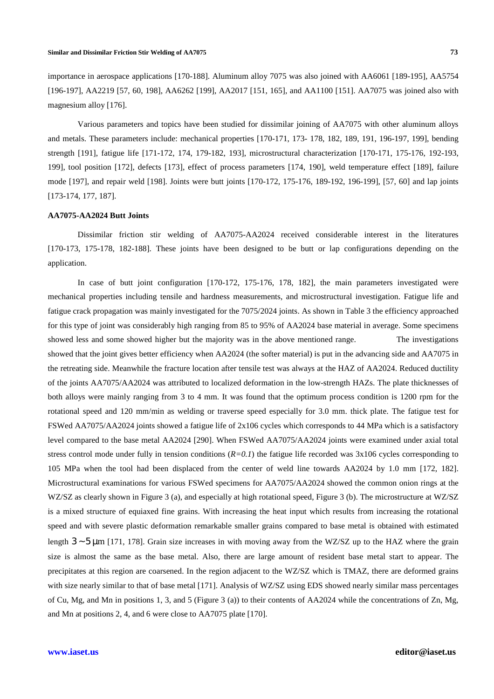importance in aerospace applications [170-188]. Aluminum alloy 7075 was also joined with AA6061 [189-195], AA5754 [196-197], AA2219 [57, 60, 198], AA6262 [199], AA2017 [151, 165], and AA1100 [151]. AA7075 was joined also with magnesium alloy [176].

Various parameters and topics have been studied for dissimilar joining of AA7075 with other aluminum alloys and metals. These parameters include: mechanical properties [170-171, 173- 178, 182, 189, 191, 196-197, 199], bending strength [191], fatigue life [171-172, 174, 179-182, 193], microstructural characterization [170-171, 175-176, 192-193, 199], tool position [172], defects [173], effect of process parameters [174, 190], weld temperature effect [189], failure mode [197], and repair weld [198]. Joints were butt joints [170-172, 175-176, 189-192, 196-199], [57, 60] and lap joints [173-174, 177, 187].

## **AA7075-AA2024 Butt Joints**

Dissimilar friction stir welding of AA7075-AA2024 received considerable interest in the literatures [170-173, 175-178, 182-188]. These joints have been designed to be butt or lap configurations depending on the application.

In case of butt joint configuration [170-172, 175-176, 178, 182], the main parameters investigated were mechanical properties including tensile and hardness measurements, and microstructural investigation. Fatigue life and fatigue crack propagation was mainly investigated for the 7075/2024 joints. As shown in Table 3 the efficiency approached for this type of joint was considerably high ranging from 85 to 95% of AA2024 base material in average. Some specimens showed less and some showed higher but the majority was in the above mentioned range. The investigations showed that the joint gives better efficiency when AA2024 (the softer material) is put in the advancing side and AA7075 in the retreating side. Meanwhile the fracture location after tensile test was always at the HAZ of AA2024. Reduced ductility of the joints AA7075/AA2024 was attributed to localized deformation in the low-strength HAZs. The plate thicknesses of both alloys were mainly ranging from 3 to 4 mm. It was found that the optimum process condition is 1200 rpm for the rotational speed and 120 mm/min as welding or traverse speed especially for 3.0 mm. thick plate. The fatigue test for FSWed AA7075/AA2024 joints showed a fatigue life of 2x106 cycles which corresponds to 44 MPa which is a satisfactory level compared to the base metal AA2024 [290]. When FSWed AA7075/AA2024 joints were examined under axial total stress control mode under fully in tension conditions  $(R=0,1)$  the fatigue life recorded was  $3x106$  cycles corresponding to 105 MPa when the tool had been displaced from the center of weld line towards AA2024 by 1.0 mm [172, 182]. Microstructural examinations for various FSWed specimens for AA7075/AA2024 showed the common onion rings at the WZ/SZ as clearly shown in Figure 3 (a), and especially at high rotational speed, Figure 3 (b). The microstructure at WZ/SZ is a mixed structure of equiaxed fine grains. With increasing the heat input which results from increasing the rotational speed and with severe plastic deformation remarkable smaller grains compared to base metal is obtained with estimated length 3 ∼ 5 µm [171, 178]. Grain size increases in with moving away from the WZ/SZ up to the HAZ where the grain size is almost the same as the base metal. Also, there are large amount of resident base metal start to appear. The precipitates at this region are coarsened. In the region adjacent to the WZ/SZ which is TMAZ, there are deformed grains with size nearly similar to that of base metal [171]. Analysis of WZ/SZ using EDS showed nearly similar mass percentages of Cu, Mg, and Mn in positions 1, 3, and 5 (Figure 3 (a)) to their contents of AA2024 while the concentrations of Zn, Mg, and Mn at positions 2, 4, and 6 were close to AA7075 plate [170].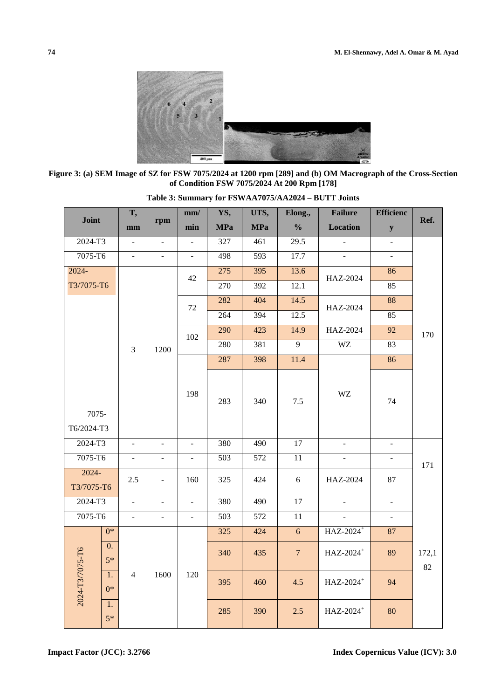

**Figure 3: (a) SEM Image of SZ for FSW of Condition 7075/2024 at 1200 rpm [289] and (b) OM Macrograph of FSW 7075/2024 At 200 Rpm [178] the Cross-Section** 

| Joint                         | T,             |                          | mm/                      | YS,              | UTS,             | Elong.,               | <b>Failure</b>        | <b>Efficienc</b>         | Ref. |    |  |
|-------------------------------|----------------|--------------------------|--------------------------|------------------|------------------|-----------------------|-----------------------|--------------------------|------|----|--|
|                               | mm             | rpm                      | min                      | <b>MPa</b>       | <b>MPa</b>       | $\frac{0}{0}$         | <b>Location</b>       | ${\bf y}$                |      |    |  |
| 2024-T3                       | $\Box$         | $\bar{\phantom{a}}$      | $\bar{\phantom{a}}$      | 327              | 461              | $\overline{29.5}$     |                       | $\overline{a}$           |      |    |  |
| 7075-T6                       | $\equiv$       | $\bar{\phantom{a}}$      | $\overline{a}$           | 498              | 593              | 17.7                  |                       | $\Box$                   |      |    |  |
| $2024 -$                      |                |                          |                          | 42               | 275              | 395                   | 13.6                  | HAZ-2024                 | 86   |    |  |
| T3/7075-T6                    |                |                          |                          |                  |                  | 270                   | 392                   | 12.1                     |      | 85 |  |
|                               |                |                          |                          | 72               | 282              | 404                   | 14.5                  | HAZ-2024                 | 88   |    |  |
|                               |                |                          |                          |                  | 264              | 394                   | 12.5                  |                          | 85   |    |  |
|                               |                |                          | 102                      | 290              | 423              | 14.9                  | HAZ-2024              | $\overline{92}$          | 170  |    |  |
|                               | $\overline{3}$ | 1200                     |                          | 280              | 381              | $\overline{9}$        | WZ                    | 83                       |      |    |  |
|                               |                |                          |                          | 287              | 398              | 11.4                  |                       | 86                       |      |    |  |
| 7075-<br>T6/2024-T3           |                |                          |                          |                  | 198              | 283                   | 340                   | 7.5                      | WZ   | 74 |  |
| 2024-T3                       | ÷.             | $\frac{1}{2}$            | $\overline{a}$           | 380              | 490              | $\overline{17}$       |                       | $\overline{\phantom{a}}$ |      |    |  |
| 7075-T6                       | $\omega$       | $\Box$                   | $\overline{\phantom{a}}$ | $\overline{503}$ | $\overline{572}$ | $\overline{11}$       | $\omega$              | $\omega$                 |      |    |  |
| $2024 -$<br>T3/7075-T6        | 2.5            | $\blacksquare$           | 160                      | 325              | 424              | 6                     | HAZ-2024              | 87                       | 171  |    |  |
| 2024-T3                       | $\equiv$       | $\overline{\phantom{a}}$ | $\overline{\phantom{a}}$ | 380              | 490              | $\overline{17}$       | $\overline{a}$        | $\equiv$                 |      |    |  |
| $7075 - T6$                   | $\mathbf{r}$   | $\omega$                 | $\Box$                   | 503              | 572              | 11                    | $\overline{a}$        | $\omega$                 |      |    |  |
| $\overline{0^*}$              |                |                          |                          | 325              | 424              | 6                     | HAZ-2024 <sup>+</sup> | 87                       |      |    |  |
| 0.<br>$5*$                    |                |                          | 340                      | 435              | $\overline{7}$   | HAZ-2024 <sup>+</sup> | 89                    | 172,1<br>82              |      |    |  |
| 2024-T3/7075-T6<br>1.<br>$0*$ | $\overline{4}$ | 1600                     | 120                      | 395              | 460              | 4.5                   | HAZ-2024 <sup>+</sup> | 94                       |      |    |  |
| 1.<br>$5*$                    |                |                          |                          | 285              | 390              | 2.5                   | HAZ-2024 <sup>+</sup> | 80                       |      |    |  |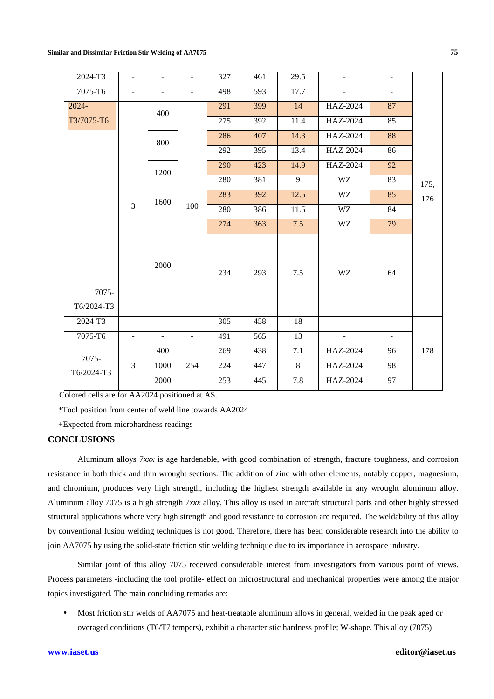| 2024-T3             | $\blacksquare$           | ÷                        | $\overline{\phantom{0}}$ | 327 | 461              | 29.5            |                | $\overline{\phantom{a}}$ |             |  |
|---------------------|--------------------------|--------------------------|--------------------------|-----|------------------|-----------------|----------------|--------------------------|-------------|--|
| 7075-T6             | $\blacksquare$           | ÷,                       | $\overline{a}$           | 498 | 593              | 17.7            |                | $\overline{\phantom{a}}$ |             |  |
| 2024-               |                          | 400                      |                          | 291 | 399              | 14              | HAZ-2024       | 87                       |             |  |
| T3/7075-T6          |                          |                          |                          | 275 | 392              | 11.4            | HAZ-2024       | 85                       |             |  |
|                     |                          | 800                      |                          | 286 | 407              | 14.3            | HAZ-2024       | 88                       |             |  |
|                     |                          |                          |                          |     | 292              | 395             | 13.4           | HAZ-2024                 | 86          |  |
|                     |                          | 1200                     |                          | 290 | 423              | 14.9            | HAZ-2024       | 92                       | 175,<br>176 |  |
|                     |                          |                          |                          | 280 | 381              | 9               | <b>WZ</b>      | 83                       |             |  |
|                     |                          | 1600<br>3                |                          | 283 | 392              | 12.5            | <b>WZ</b>      | 85                       |             |  |
|                     |                          |                          | 100                      | 280 | 386              | 11.5            | WZ             | 84                       |             |  |
|                     |                          | 2000                     |                          | 274 | 363              | 7.5             | <b>WZ</b>      | 79                       |             |  |
| 7075-<br>T6/2024-T3 |                          |                          |                          | 234 | 293              | 7.5             | WZ             | 64                       |             |  |
| $2024 - T3$         | $\blacksquare$           | $\overline{a}$           | $\overline{a}$           | 305 | 458              | 18              | $\mathbf{r}$   | $\blacksquare$           |             |  |
| 7075-T6             | $\overline{\phantom{a}}$ | $\overline{\phantom{0}}$ | $\overline{\phantom{a}}$ | 491 | $\overline{565}$ | $\overline{13}$ | $\blacksquare$ | $\overline{\phantom{a}}$ |             |  |
|                     |                          | 400                      |                          | 269 | 438              | 7.1             | HAZ-2024       | 96                       | 178         |  |
| 7075-               |                          | 3<br>1000                | 254                      | 224 | 447              | 8               | HAZ-2024       | 98                       |             |  |
| T6/2024-T3          |                          | 2000                     |                          | 253 | 445              | 7.8             | HAZ-2024       | 97                       |             |  |

Colored cells are for AA2024 positioned at AS.

\*Tool position from center of weld line towards AA2024

+Expected from microhardness readings

# **CONCLUSIONS**

Aluminum alloys 7*xxx* is age hardenable, with good combination of strength, fracture toughness, and corrosion resistance in both thick and thin wrought sections. The addition of zinc with other elements, notably copper, magnesium, and chromium, produces very high strength, including the highest strength available in any wrought aluminum alloy. Aluminum alloy 7075 is a high strength 7*xxx* alloy. This alloy is used in aircraft structural parts and other highly stressed structural applications where very high strength and good resistance to corrosion are required. The weldability of this alloy by conventional fusion welding techniques is not good. Therefore, there has been considerable research into the ability to join AA7075 by using the solid-state friction stir welding technique due to its importance in aerospace industry.

Similar joint of this alloy 7075 received considerable interest from investigators from various point of views. Process parameters -including the tool profile- effect on microstructural and mechanical properties were among the major topics investigated. The main concluding remarks are:

• Most friction stir welds of AA7075 and heat-treatable aluminum alloys in general, welded in the peak aged or overaged conditions (T6/T7 tempers), exhibit a characteristic hardness profile; W-shape. This alloy (7075)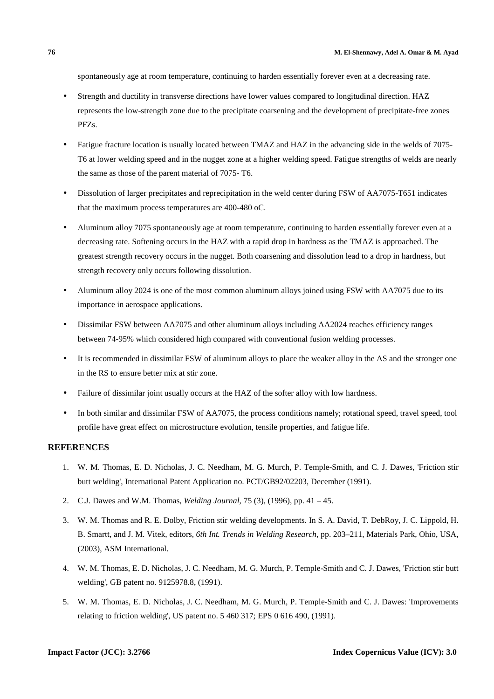spontaneously age at room temperature, continuing to harden essentially forever even at a decreasing rate.

- Strength and ductility in transverse directions have lower values compared to longitudinal direction. HAZ represents the low-strength zone due to the precipitate coarsening and the development of precipitate-free zones PFZs.
- Fatigue fracture location is usually located between TMAZ and HAZ in the advancing side in the welds of 7075-T6 at lower welding speed and in the nugget zone at a higher welding speed. Fatigue strengths of welds are nearly the same as those of the parent material of 7075- T6.
- Dissolution of larger precipitates and reprecipitation in the weld center during FSW of AA7075-T651 indicates that the maximum process temperatures are 400-480 oC.
- Aluminum alloy 7075 spontaneously age at room temperature, continuing to harden essentially forever even at a decreasing rate. Softening occurs in the HAZ with a rapid drop in hardness as the TMAZ is approached. The greatest strength recovery occurs in the nugget. Both coarsening and dissolution lead to a drop in hardness, but strength recovery only occurs following dissolution.
- Aluminum alloy 2024 is one of the most common aluminum alloys joined using FSW with AA7075 due to its importance in aerospace applications.
- Dissimilar FSW between AA7075 and other aluminum alloys including AA2024 reaches efficiency ranges between 74-95% which considered high compared with conventional fusion welding processes.
- It is recommended in dissimilar FSW of aluminum alloys to place the weaker alloy in the AS and the stronger one in the RS to ensure better mix at stir zone.
- Failure of dissimilar joint usually occurs at the HAZ of the softer alloy with low hardness.
- In both similar and dissimilar FSW of AA7075, the process conditions namely; rotational speed, travel speed, tool profile have great effect on microstructure evolution, tensile properties, and fatigue life.

## **REFERENCES**

- 1. W. M. Thomas, E. D. Nicholas, J. C. Needham, M. G. Murch, P. Temple-Smith, and C. J. Dawes, 'Friction stir butt welding', International Patent Application no. PCT/GB92/02203, December (1991).
- 2. C.J. Dawes and W.M. Thomas, *Welding Journal*, 75 (3), (1996), pp. 41 45.
- 3. W. M. Thomas and R. E. Dolby, Friction stir welding developments. In S. A. David, T. DebRoy, J. C. Lippold, H. B. Smartt, and J. M. Vitek, editors, *6th Int. Trends in Welding Research*, pp. 203–211, Materials Park, Ohio, USA, (2003), ASM International.
- 4. W. M. Thomas, E. D. Nicholas, J. C. Needham, M. G. Murch, P. Temple-Smith and C. J. Dawes, 'Friction stir butt welding', GB patent no. 9125978.8, (1991).
- 5. W. M. Thomas, E. D. Nicholas, J. C. Needham, M. G. Murch, P. Temple-Smith and C. J. Dawes: 'Improvements relating to friction welding', US patent no. 5 460 317; EPS 0 616 490, (1991).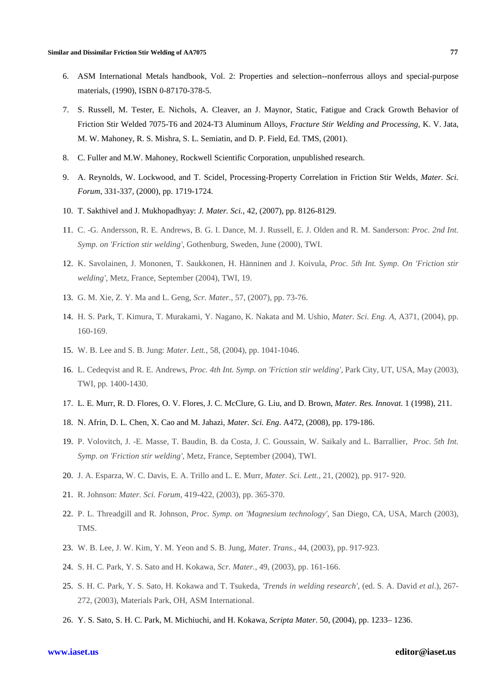- 6. ASM International Metals handbook, Vol. 2: Properties and selection--nonferrous alloys and special-purpose materials, (1990), ISBN 0-87170-378-5.
- 7. S. Russell, M. Tester, E. Nichols, A. Cleaver, an J. Maynor, Static, Fatigue and Crack Growth Behavior of Friction Stir Welded 7075-T6 and 2024-T3 Aluminum Alloys, *Fracture Stir Welding and Processing*, K. V. Jata, M. W. Mahoney, R. S. Mishra, S. L. Semiatin, and D. P. Field, Ed. TMS, (2001).
- 8. C. Fuller and M.W. Mahoney, Rockwell Scientific Corporation, unpublished research.
- 9. A. Reynolds, W. Lockwood, and T. Scidel, Processing-Property Correlation in Friction Stir Welds, *Mater. Sci. Forum*, 331-337, (2000), pp. 1719-1724.
- 10. T. Sakthivel and J. Mukhopadhyay: *J. Mater. Sci.*, 42, (2007), pp. 8126-8129.
- 11. C. -G. Andersson, R. E. Andrews, B. G. I. Dance, M. J. Russell, E. J. Olden and R. M. Sanderson: *Proc. 2nd Int. Symp. on 'Friction stir welding'*, Gothenburg, Sweden, June (2000), TWI.
- 12. K. Savolainen, J. Mononen, T. Saukkonen, H. Hänninen and J. Koivula, *Proc. 5th Int. Symp. On 'Friction stir welding'*, Metz, France, September (2004), TWI, 19.
- 13. G. M. Xie, Z. Y. Ma and L. Geng, *Scr. Mater.*, 57, (2007), pp. 73-76.
- 14. H. S. Park, T. Kimura, T. Murakami, Y. Nagano, K. Nakata and M. Ushio, *Mater. Sci. Eng. A*, A371, (2004), pp. 160-169.
- 15. W. B. Lee and S. B. Jung: *Mater. Lett.*, 58, (2004), pp. 1041-1046.
- 16. L. Cedeqvist and R. E. Andrews, *Proc. 4th Int. Symp. on 'Friction stir welding'*, Park City, UT, USA, May (2003), TWI, pp. 1400-1430.
- 17. L. E. Murr, R. D. Flores, O. V. Flores, J. C. McClure, G. Liu, and D. Brown, *Mater. Res. Innovat*. 1 (1998), 211.
- 18. N. Afrin, D. L. Chen, X. Cao and M. Jahazi, *Mater. Sci. Eng*. A472, (2008), pp. 179-186.
- 19. P. Volovitch, J. -E. Masse, T. Baudin, B. da Costa, J. C. Goussain, W. Saikaly and L. Barrallier, *Proc. 5th Int. Symp. on 'Friction stir welding'*, Metz, France, September (2004), TWI.
- 20. J. A. Esparza, W. C. Davis, E. A. Trillo and L. E. Murr, *Mater. Sci. Lett.*, 21, (2002), pp. 917- 920.
- 21. R. Johnson: *Mater. Sci. Forum*, 419-422, (2003), pp. 365-370.
- 22. P. L. Threadgill and R. Johnson, *Proc. Symp. on 'Magnesium technology'*, San Diego, CA, USA, March (2003), TMS.
- 23. W. B. Lee, J. W. Kim, Y. M. Yeon and S. B. Jung, *Mater. Trans.*, 44, (2003), pp. 917-923.
- 24. S. H. C. Park, Y. S. Sato and H. Kokawa, *Scr. Mater.*, 49, (2003), pp. 161-166.
- 25. S. H. C. Park, Y. S. Sato, H. Kokawa and T. Tsukeda, *'Trends in welding research'*, (ed. S. A. David *et al*.), 267- 272, (2003), Materials Park, OH, ASM International.
- 26. Y. S. Sato, S. H. C. Park, M. Michiuchi, and H. Kokawa, *Scripta Mater*. 50, (2004), pp. 1233– 1236.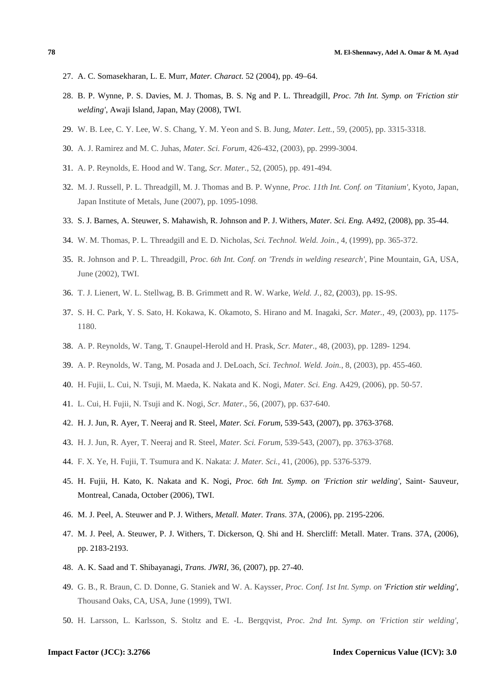- 27. A. C. Somasekharan, L. E. Murr, *Mater. Charact*. 52 (2004), pp. 49–64.
- 28. B. P. Wynne, P. S. Davies, M. J. Thomas, B. S. Ng and P. L. Threadgill, *Proc. 7th Int. Symp. on 'Friction stir welding'*, Awaji Island, Japan, May (2008), TWI.
- 29. W. B. Lee, C. Y. Lee, W. S. Chang, Y. M. Yeon and S. B. Jung, *Mater. Lett.*, 59, (2005), pp. 3315-3318.
- 30. A. J. Ramirez and M. C. Juhas, *Mater. Sci. Forum*, 426-432, (2003), pp. 2999-3004.
- 31. A. P. Reynolds, E. Hood and W. Tang, *Scr. Mater.*, 52, (2005), pp. 491-494.
- 32. M. J. Russell, P. L. Threadgill, M. J. Thomas and B. P. Wynne, *Proc. 11th Int. Conf. on 'Titanium'*, Kyoto, Japan, Japan Institute of Metals, June (2007), pp. 1095-1098.
- 33. S. J. Barnes, A. Steuwer, S. Mahawish, R. Johnson and P. J. Withers, *Mater. Sci. Eng.* A492, (2008), pp. 35-44.
- 34. W. M. Thomas, P. L. Threadgill and E. D. Nicholas, *Sci. Technol. Weld. Join.*, 4, (1999), pp. 365-372.
- 35. R. Johnson and P. L. Threadgill, *Proc. 6th Int. Conf. on 'Trends in welding research'*, Pine Mountain, GA, USA, June (2002), TWI.
- 36. T. J. Lienert, W. L. Stellwag, B. B. Grimmett and R. W. Warke, *Weld. J.*, 82, **(**2003), pp. 1S-9S.
- 37. S. H. C. Park, Y. S. Sato, H. Kokawa, K. Okamoto, S. Hirano and M. Inagaki, *Scr. Mater.*, 49, (2003), pp. 1175- 1180.
- 38. A. P. Reynolds, W. Tang, T. Gnaupel-Herold and H. Prask, *Scr. Mater.*, 48, (2003), pp. 1289- 1294.
- 39. A. P. Reynolds, W. Tang, M. Posada and J. DeLoach, *Sci. Technol. Weld. Join.*, 8, (2003), pp. 455-460.
- 40. H. Fujii, L. Cui, N. Tsuji, M. Maeda, K. Nakata and K. Nogi, *Mater. Sci. Eng.* A429, (2006), pp. 50-57.
- 41. L. Cui, H. Fujii, N. Tsuji and K. Nogi, *Scr. Mater.*, 56, (2007), pp. 637-640.
- 42. H. J. Jun, R. Ayer, T. Neeraj and R. Steel, *Mater. Sci. Forum*, 539-543, (2007), pp. 3763-3768.
- 43. H. J. Jun, R. Ayer, T. Neeraj and R. Steel, *Mater. Sci. Forum*, 539-543, (2007), pp. 3763-3768.
- 44. F. X. Ye, H. Fujii, T. Tsumura and K. Nakata: *J. Mater. Sci.*, 41, (2006), pp. 5376-5379.
- 45. H. Fujii, H. Kato, K. Nakata and K. Nogi, *Proc. 6th Int. Symp. on 'Friction stir welding'*, Saint- Sauveur, Montreal, Canada, October (2006), TWI.
- 46. M. J. Peel, A. Steuwer and P. J. Withers, *Metall. Mater. Trans*. 37A, (2006), pp. 2195-2206.
- 47. M. J. Peel, A. Steuwer, P. J. Withers, T. Dickerson, Q. Shi and H. Shercliff: Metall. Mater. Trans. 37A, (2006), pp. 2183-2193.
- 48. A. K. Saad and T. Shibayanagi, *Trans. JWRI*, 36, (2007), pp. 27-40.
- 49. G. B., R. Braun, C. D. Donne, G. Staniek and W. A. Kaysser, *Proc. Conf. 1st Int. Symp. on 'Friction stir welding'*, Thousand Oaks, CA, USA, June (1999), TWI.
- 50. H. Larsson, L. Karlsson, S. Stoltz and E. -L. Bergqvist, *Proc. 2nd Int. Symp. on 'Friction stir welding'*,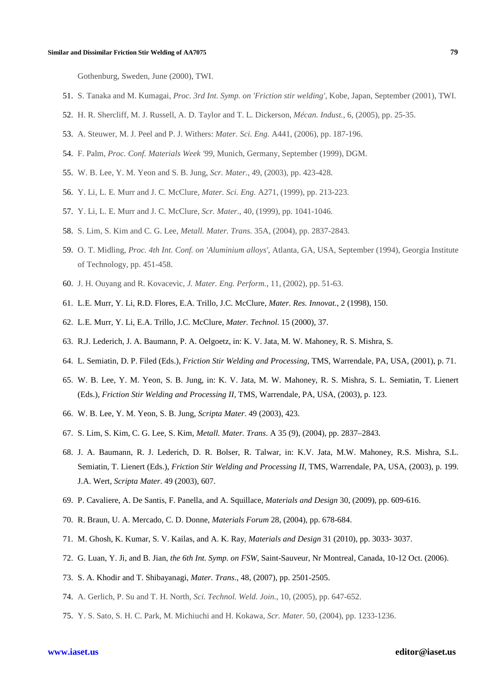Gothenburg, Sweden, June (2000), TWI.

- 51. S. Tanaka and M. Kumagai, *Proc. 3rd Int. Symp. on 'Friction stir welding'*, Kobe, Japan, September (2001), TWI.
- 52. H. R. Shercliff, M. J. Russell, A. D. Taylor and T. L. Dickerson, *Mécan. Indust.*, 6, (2005), pp. 25-35.
- 53. A. Steuwer, M. J. Peel and P. J. Withers: *Mater. Sci. Eng.* A441, (2006), pp. 187-196.
- 54. F. Palm, *Proc. Conf. Materials Week '99*, Munich, Germany, September (1999), DGM.
- 55. W. B. Lee, Y. M. Yeon and S. B. Jung, *Scr. Mater.*, 49, (2003), pp. 423-428.
- 56. Y. Li, L. E. Murr and J. C. McClure, *Mater. Sci. Eng.* A271, (1999), pp. 213-223.
- 57. Y. Li, L. E. Murr and J. C. McClure, *Scr. Mater.*, 40, (1999), pp. 1041-1046.
- 58. S. Lim, S. Kim and C. G. Lee, *Metall. Mater. Trans.* 35A, (2004), pp. 2837-2843.
- 59. O. T. Midling, *Proc. 4th Int. Conf. on 'Aluminium alloys'*, Atlanta, GA, USA, September (1994), Georgia Institute of Technology, pp. 451-458.
- 60. J. H. Ouyang and R. Kovacevic, *J. Mater. Eng. Perform.*, 11, (2002), pp. 51-63.
- 61. L.E. Murr, Y. Li, R.D. Flores, E.A. Trillo, J.C. McClure, *Mater. Res. Innovat.*, 2 (1998), 150.
- 62. L.E. Murr, Y. Li, E.A. Trillo, J.C. McClure, *Mater. Technol*. 15 (2000), 37.
- 63. R.J. Lederich, J. A. Baumann, P. A. Oelgoetz, in: K. V. Jata, M. W. Mahoney, R. S. Mishra, S.
- 64. L. Semiatin, D. P. Filed (Eds.), *Friction Stir Welding and Processing*, TMS, Warrendale, PA, USA, (2001), p. 71.
- 65. W. B. Lee, Y. M. Yeon, S. B. Jung, in: K. V. Jata, M. W. Mahoney, R. S. Mishra, S. L. Semiatin, T. Lienert (Eds.), *Friction Stir Welding and Processing II*, TMS, Warrendale, PA, USA, (2003), p. 123.
- 66. W. B. Lee, Y. M. Yeon, S. B. Jung, *Scripta Mater*. 49 (2003), 423.
- 67. S. Lim, S. Kim, C. G. Lee, S. Kim, *Metall. Mater. Trans*. A 35 (9), (2004), pp. 2837–2843.
- 68. J. A. Baumann, R. J. Lederich, D. R. Bolser, R. Talwar, in: K.V. Jata, M.W. Mahoney, R.S. Mishra, S.L. Semiatin, T. Lienert (Eds.), *Friction Stir Welding and Processing II*, TMS, Warrendale, PA, USA, (2003), p. 199. J.A. Wert, *Scripta Mater*. 49 (2003), 607.
- 69. P. Cavaliere, A. De Santis, F. Panella, and A. Squillace, *Materials and Design* 30, (2009), pp. 609-616.
- 70. R. Braun, U. A. Mercado, C. D. Donne, *Materials Forum* 28, (2004), pp. 678-684.
- 71. M. Ghosh, K. Kumar, S. V. Kailas, and A. K. Ray*, Materials and Design* 31 (2010), pp. 3033- 3037.
- 72. G. Luan, Y. Ji, and B. Jian, *the 6th Int. Symp. on FSW*, Saint-Sauveur, Nr Montreal, Canada, 10-12 Oct. (2006).
- 73. S. A. Khodir and T. Shibayanagi, *Mater. Trans*., 48, (2007), pp. 2501-2505.
- 74. A. Gerlich, P. Su and T. H. North, *Sci. Technol. Weld. Join.*, 10, (2005), pp. 647-652.
- 75. Y. S. Sato, S. H. C. Park, M. Michiuchi and H. Kokawa, *Scr. Mater.* 50, (2004), pp. 1233-1236.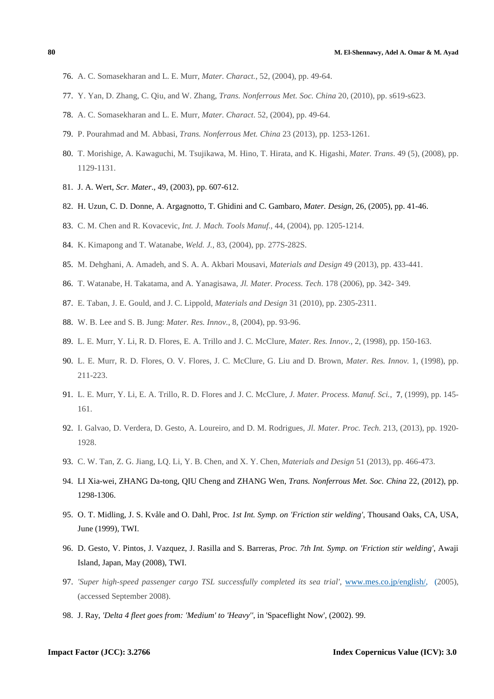- 76. A. C. Somasekharan and L. E. Murr, *Mater. Charact.*, 52, (2004), pp. 49-64.
- 77. Y. Yan, D. Zhang, C. Qiu, and W. Zhang, *Trans. Nonferrous Met. Soc. China* 20, (2010), pp. s619-s623.
- 78. A. C. Somasekharan and L. E. Murr, *Mater. Charact*. 52, (2004), pp. 49-64.
- 79. P. Pourahmad and M. Abbasi, *Trans. Nonferrous Met. China* 23 (2013), pp. 1253-1261.
- 80. T. Morishige, A. Kawaguchi, M. Tsujikawa, M. Hino, T. Hirata, and K. Higashi, *Mater. Trans*. 49 (5), (2008), pp. 1129-1131.
- 81. J. A. Wert, *Scr. Mater*., 49, (2003), pp. 607-612.
- 82. H. Uzun, C. D. Donne, A. Argagnotto, T. Ghidini and C. Gambaro, *Mater. Design*, 26, (2005), pp. 41-46.
- 83. C. M. Chen and R. Kovacevic, *Int. J. Mach. Tools Manuf.*, 44, (2004), pp. 1205-1214.
- 84. K. Kimapong and T. Watanabe, *Weld. J.*, 83, (2004), pp. 277S-282S.
- 85. M. Dehghani, A. Amadeh, and S. A. A. Akbari Mousavi, *Materials and Design* 49 (2013), pp. 433-441.
- 86. T. Watanabe, H. Takatama, and A. Yanagisawa, *Jl. Mater. Process. Tech*. 178 (2006), pp. 342- 349.
- 87. E. Taban, J. E. Gould, and J. C. Lippold, *Materials and Design* 31 (2010), pp. 2305-2311.
- 88. W. B. Lee and S. B. Jung: *Mater. Res. Innov.*, 8, (2004), pp. 93-96.
- 89. L. E. Murr, Y. Li, R. D. Flores, E. A. Trillo and J. C. McClure, *Mater. Res. Innov.*, 2, (1998), pp. 150-163.
- 90. L. E. Murr, R. D. Flores, O. V. Flores, J. C. McClure, G. Liu and D. Brown, *Mater. Res. Innov.* 1, (1998), pp. 211-223.
- 91. L. E. Murr, Y. Li, E. A. Trillo, R. D. Flores and J. C. McClure, *J. Mater. Process. Manuf. Sci.*, **7**, (1999), pp. 145- 161.
- 92. I. Galvao, D. Verdera, D. Gesto, A. Loureiro, and D. M. Rodrigues, *Jl. Mater. Proc. Tech*. 213, (2013), pp. 1920- 1928.
- 93. C. W. Tan, Z. G. Jiang, LQ. Li, Y. B. Chen, and X. Y. Chen, *Materials and Design* 51 (2013), pp. 466-473.
- 94. LI Xia-wei, ZHANG Da-tong, QIU Cheng and ZHANG Wen, *Trans. Nonferrous Met. Soc. China* 22, (2012), pp. 1298-1306.
- 95. O. T. Midling, J. S. Kvåle and O. Dahl, Proc. *1st Int. Symp. on 'Friction stir welding'*, Thousand Oaks, CA, USA, June (1999), TWI.
- 96. D. Gesto, V. Pintos, J. Vazquez, J. Rasilla and S. Barreras, *Proc. 7th Int. Symp. on 'Friction stir welding'*, Awaji Island, Japan, May (2008), TWI.
- 97. *'Super high-speed passenger cargo TSL successfully completed its sea trial'*, www.mes.co.jp/english/, (2005), (accessed September 2008).
- 98. J. Ray, *'Delta 4 fleet goes from: 'Medium' to 'Heavy''*, in 'Spaceflight Now', (2002). 99.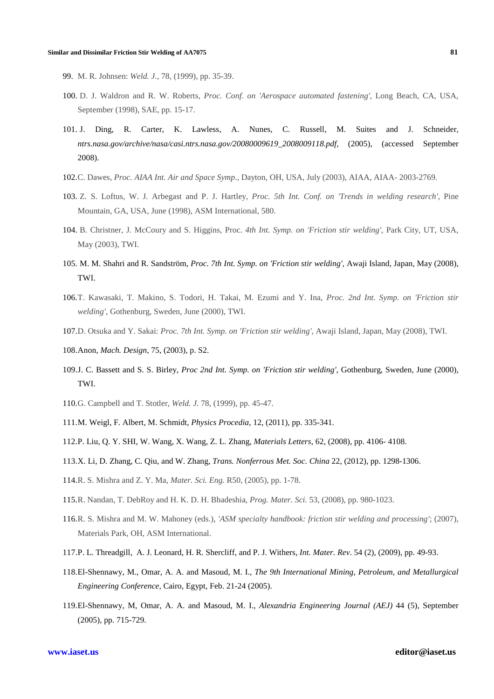- 99. M. R. Johnsen: *Weld. J.*, 78, (1999), pp. 35-39.
- 100. D. J. Waldron and R. W. Roberts, *Proc. Conf. on 'Aerospace automated fastening'*, Long Beach, CA, USA, September (1998), SAE, pp. 15-17.
- 101. J. Ding, R. Carter, K. Lawless, A. Nunes, C. Russell, M. Suites and J. Schneider, *ntrs.nasa.gov/archive/nasa/casi.ntrs.nasa.gov/20080009619\_2008009118.pdf*, (2005), (accessed September 2008).
- 102.C. Dawes, *Proc. AIAA Int. Air and Space Symp*., Dayton, OH, USA, July (2003), AIAA, AIAA- 2003-2769.
- 103. Z. S. Loftus, W. J. Arbegast and P. J. Hartley, *Proc. 5th Int. Conf. on 'Trends in welding research'*, Pine Mountain, GA, USA, June (1998), ASM International, 580.
- 104. B. Christner, J. McCoury and S. Higgins, Proc. *4th Int. Symp. on 'Friction stir welding'*, Park City, UT, USA, May (2003), TWI.
- 105. M. M. Shahri and R. Sandström, *Proc. 7th Int. Symp. on 'Friction stir welding'*, Awaji Island, Japan, May (2008), TWI.
- 106.T. Kawasaki, T. Makino, S. Todori, H. Takai, M. Ezumi and Y. Ina, *Proc. 2nd Int. Symp. on 'Friction stir welding'*, Gothenburg, Sweden, June (2000), TWI.
- 107.D. Otsuka and Y. Sakai: *Proc. 7th Int. Symp. on 'Friction stir welding'*, Awaji Island, Japan, May (2008), TWI.
- 108.Anon, *Mach. Design*, 75, (2003), p. S2.
- 109.J. C. Bassett and S. S. Birley, *Proc 2nd Int. Symp. on 'Friction stir welding'*, Gothenburg, Sweden, June (2000), TWI.
- 110.G. Campbell and T. Stotler, *Weld. J.* 78, (1999), pp. 45-47.
- 111.M. Weigl, F. Albert, M. Schmidt, *Physics Procedia*, 12, (2011), pp. 335-341.
- 112.P. Liu, Q. Y. SHI, W. Wang, X. Wang, Z. L. Zhang, *Materials Letters*, 62, (2008), pp. 4106- 4108.
- 113.X. Li, D. Zhang, C. Qiu, and W. Zhang, *Trans. Nonferrous Met. Soc. China* 22, (2012), pp. 1298-1306.
- 114.R. S. Mishra and Z. Y. Ma, *Mater. Sci. Eng.* R50, (2005), pp. 1-78.
- 115.R. Nandan, T. DebRoy and H. K. D. H. Bhadeshia, *Prog. Mater. Sci.* 53, (2008), pp. 980-1023.
- 116.R. S. Mishra and M. W. Mahoney (eds.), *'ASM specialty handbook: friction stir welding and processing'*; (2007), Materials Park, OH, ASM International.
- 117.P. L. Threadgill, A. J. Leonard, H. R. Shercliff, and P. J. Withers, *Int. Mater. Rev*. 54 (2), (2009), pp. 49-93.
- 118.El-Shennawy, M., Omar, A. A. and Masoud, M. I., *The 9th International Mining, Petroleum, and Metallurgical Engineering Conference,* Cairo, Egypt, Feb. 21-24 (2005).
- 119.El-Shennawy, M, Omar, A. A. and Masoud, M. I., *Alexandria Engineering Journal (AEJ)* 44 (5), September (2005), pp. 715-729.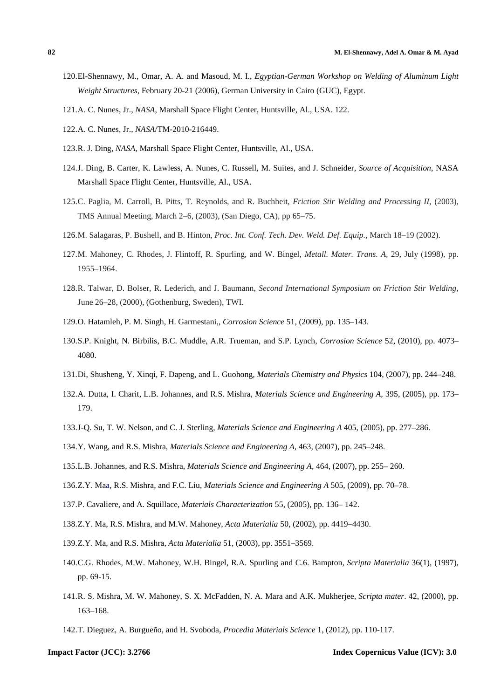- 120.El-Shennawy, M., Omar, A. A. and Masoud, M. I., *Egyptian-German Workshop on Welding of Aluminum Light Weight Structures*, February 20-21 (2006), German University in Cairo (GUC), Egypt.
- 121.A. C. Nunes, Jr., *NASA*, Marshall Space Flight Center, Huntsville, Al., USA. 122.
- 122.A. C. Nunes, Jr., *NASA*/TM-2010-216449.
- 123.R. J. Ding, *NASA*, Marshall Space Flight Center, Huntsville, Al., USA.
- 124.J. Ding, B. Carter, K. Lawless, A. Nunes, C. Russell, M. Suites, and J. Schneider, *Source of Acquisition*, NASA Marshall Space Flight Center, Huntsville, Al., USA.
- 125.C. Paglia, M. Carroll, B. Pitts, T. Reynolds, and R. Buchheit, *Friction Stir Welding and Processing II,* (2003), TMS Annual Meeting, March 2–6, (2003), (San Diego, CA), pp 65–75.
- 126.M. Salagaras, P. Bushell, and B. Hinton, *Proc. Int. Conf. Tech. Dev. Weld. Def. Equip.,* March 18–19 (2002).
- 127.M. Mahoney, C. Rhodes, J. Flintoff, R. Spurling, and W. Bingel, *Metall. Mater. Trans. A,* 29, July (1998), pp. 1955–1964.
- 128.R. Talwar, D. Bolser, R. Lederich, and J. Baumann, *Second International Symposium on Friction Stir Welding*, June 26–28, (2000), (Gothenburg, Sweden), TWI.
- 129.O. Hatamleh, P. M. Singh, H. Garmestani,, *Corrosion Science* 51, (2009), pp. 135–143.
- 130.S.P. Knight, N. Birbilis, B.C. Muddle, A.R. Trueman, and S.P. Lynch, *Corrosion Science* 52, (2010), pp. 4073– 4080.
- 131.Di, Shusheng, Y. Xinqi, F. Dapeng, and L. Guohong, *Materials Chemistry and Physics* 104, (2007), pp. 244–248.
- 132.A. Dutta, I. Charit, L.B. Johannes, and R.S. Mishra, *Materials Science and Engineering A,* 395, (2005), pp. 173– 179.
- 133.J-Q. Su*,* T. W. Nelson, and C. J. Sterling, *Materials Science and Engineering A* 405, (2005), pp. 277–286.
- 134.Y. Wang, and R.S. Mishra, *Materials Science and Engineering A,* 463, (2007), pp. 245–248.
- 135.L.B. Johannes, and R.S. Mishra, *Materials Science and Engineering A,* 464, (2007), pp. 255– 260.
- 136.Z.Y. Maa, R.S. Mishra, and F.C. Liu, *Materials Science and Engineering A* 505, (2009), pp. 70–78.
- 137.P. Cavaliere, and A. Squillace, *Materials Characterization* 55, (2005), pp. 136– 142.
- 138.Z.Y. Ma, R.S. Mishra, and M.W. Mahoney, *Acta Materialia* 50, (2002), pp. 4419–4430.
- 139.Z.Y. Ma, and R.S. Mishra, *Acta Materialia* 51, (2003), pp. 3551–3569.
- 140.C.G. Rhodes, M.W. Mahoney, W.H. Bingel, R.A. Spurling and C.6. Bampton, *Scripta Materialia* 36(1), (1997), pp. 69-15.
- 141.R. S. Mishra, M. W. Mahoney, S. X. McFadden, N. A. Mara and A.K. Mukherjee, *Scripta mater*. 42, (2000), pp. 163–168.
- 142.T. Dieguez, A. Burgueño, and H. Svoboda, *Procedia Materials Science* 1, (2012), pp. 110-117.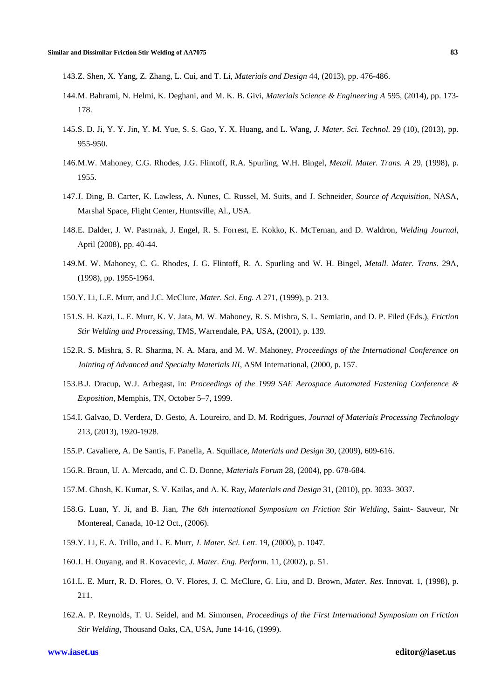143.Z. Shen, X. Yang, Z. Zhang, L. Cui, and T. Li, *Materials and Design* 44, (2013), pp. 476-486.

- 144.M. Bahrami, N. Helmi, K. Deghani, and M. K. B. Givi, *Materials Science & Engineering A* 595, (2014), pp. 173- 178.
- 145.S. D. Ji, Y. Y. Jin, Y. M. Yue, S. S. Gao, Y. X. Huang, and L. Wang, *J. Mater. Sci. Technol.* 29 (10), (2013), pp. 955-950.
- 146.M.W. Mahoney, C.G. Rhodes, J.G. Flintoff, R.A. Spurling, W.H. Bingel, *Metall. Mater. Trans. A* 29, (1998), p. 1955.
- 147.J. Ding, B. Carter, K. Lawless, A. Nunes, C. Russel, M. Suits, and J. Schneider, *Source of Acquisition*, NASA, Marshal Space, Flight Center, Huntsville, Al., USA.
- 148.E. Dalder, J. W. Pastrnak, J. Engel, R. S. Forrest, E. Kokko, K. McTernan, and D. Waldron, *Welding Journal*, April (2008), pp. 40-44.
- 149.M. W. Mahoney, C. G. Rhodes, J. G. Flintoff, R. A. Spurling and W. H. Bingel, *Metall. Mater. Trans.* 29A, (1998), pp. 1955-1964.
- 150.Y. Li, L.E. Murr, and J.C. McClure, *Mater. Sci. Eng. A* 271, (1999), p. 213.
- 151.S. H. Kazi, L. E. Murr, K. V. Jata, M. W. Mahoney, R. S. Mishra, S. L. Semiatin, and D. P. Filed (Eds.), *Friction Stir Welding and Processing*, TMS, Warrendale, PA, USA, (2001), p. 139.
- 152.R. S. Mishra, S. R. Sharma, N. A. Mara, and M. W. Mahoney, *Proceedings of the International Conference on Jointing of Advanced and Specialty Materials III*, ASM International, (2000, p. 157.
- 153.B.J. Dracup, W.J. Arbegast, in: *Proceedings of the 1999 SAE Aerospace Automated Fastening Conference & Exposition*, Memphis, TN, October 5–7, 1999.
- 154.I. Galvao, D. Verdera, D. Gesto, A. Loureiro, and D. M. Rodrigues, *Journal of Materials Processing Technology*  213, (2013), 1920-1928.
- 155.P. Cavaliere, A. De Santis, F. Panella, A. Squillace, *Materials and Design* 30, (2009), 609-616.
- 156.R. Braun, U. A. Mercado, and C. D. Donne, *Materials Forum* 28, (2004), pp. 678-684.
- 157.M. Ghosh, K. Kumar, S. V. Kailas, and A. K. Ray, *Materials and Design* 31, (2010), pp. 3033- 3037.
- 158.G. Luan, Y. Ji, and B. Jian, *The 6th international Symposium on Friction Stir Welding*, Saint- Sauveur, Nr Montereal, Canada, 10-12 Oct., (2006).
- 159.Y. Li, E. A. Trillo, and L. E. Murr, *J. Mater. Sci. Lett*. 19, (2000), p. 1047.
- 160.J. H. Ouyang, and R. Kovacevic, *J. Mater. Eng. Perform*. 11, (2002), p. 51.
- 161.L. E. Murr, R. D. Flores, O. V. Flores, J. C. McClure, G. Liu, and D. Brown, *Mater. Res*. Innovat. 1, (1998), p. 211.
- 162.A. P. Reynolds, T. U. Seidel, and M. Simonsen, *Proceedings of the First International Symposium on Friction Stir Welding*, Thousand Oaks, CA, USA, June 14-16, (1999).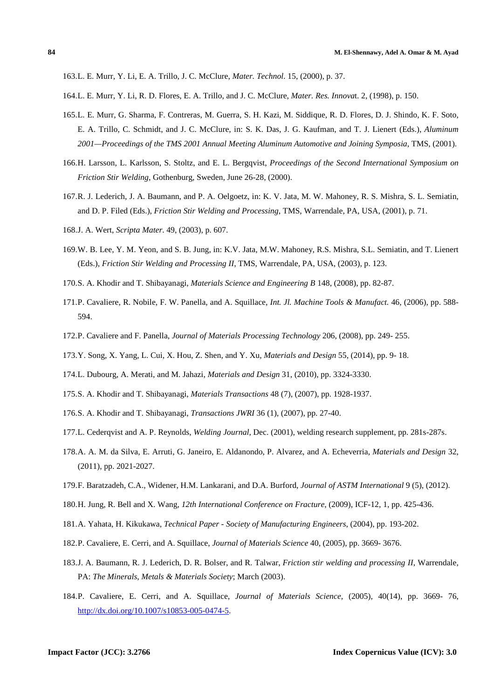163.L. E. Murr, Y. Li, E. A. Trillo, J. C. McClure, *Mater. Technol*. 15, (2000), p. 37.

- 164.L. E. Murr, Y. Li, R. D. Flores, E. A. Trillo, and J. C. McClure, *Mater. Res. Innova*t. 2, (1998), p. 150.
- 165.L. E. Murr, G. Sharma, F. Contreras, M. Guerra, S. H. Kazi, M. Siddique, R. D. Flores, D. J. Shindo, K. F. Soto, E. A. Trillo, C. Schmidt, and J. C. McClure, in: S. K. Das, J. G. Kaufman, and T. J. Lienert (Eds.), *Aluminum 2001—Proceedings of the TMS 2001 Annual Meeting Aluminum Automotive and Joining Symposia*, TMS, (2001).
- 166.H. Larsson, L. Karlsson, S. Stoltz, and E. L. Bergqvist, *Proceedings of the Second International Symposium on Friction Stir Welding*, Gothenburg, Sweden, June 26-28, (2000).
- 167.R. J. Lederich, J. A. Baumann, and P. A. Oelgoetz, in: K. V. Jata, M. W. Mahoney, R. S. Mishra, S. L. Semiatin, and D. P. Filed (Eds.), *Friction Stir Welding and Processing*, TMS, Warrendale, PA, USA, (2001), p. 71.
- 168.J. A. Wert, *Scripta Mater*. 49, (2003), p. 607.
- 169.W. B. Lee, Y. M. Yeon, and S. B. Jung, in: K.V. Jata, M.W. Mahoney, R.S. Mishra, S.L. Semiatin, and T. Lienert (Eds.), *Friction Stir Welding and Processing II*, TMS, Warrendale, PA, USA, (2003), p. 123.
- 170.S. A. Khodir and T. Shibayanagi, *Materials Science and Engineering B* 148, (2008), pp. 82-87.
- 171.P. Cavaliere, R. Nobile, F. W. Panella, and A. Squillace, *Int. Jl. Machine Tools & Manufact.* 46, (2006), pp. 588- 594.
- 172.P. Cavaliere and F. Panella, *Journal of Materials Processing Technology* 206, (2008), pp. 249- 255.
- 173.Y. Song, X. Yang, L. Cui, X. Hou, Z. Shen, and Y. Xu, *Materials and Design* 55, (2014), pp. 9- 18.
- 174.L. Dubourg, A. Merati, and M. Jahazi, *Materials and Design* 31, (2010), pp. 3324-3330.
- 175.S. A. Khodir and T. Shibayanagi, *Materials Transactions* 48 (7), (2007), pp. 1928-1937.
- 176.S. A. Khodir and T. Shibayanagi, *Transactions JWRI* 36 (1), (2007), pp. 27-40.
- 177.L. Cederqvist and A. P. Reynolds, *Welding Journal*, Dec. (2001), welding research supplement, pp. 281s-287s.
- 178.A. A. M. da Silva, E. Arruti, G. Janeiro, E. Aldanondo, P. Alvarez, and A. Echeverria, *Materials and Design* 32, (2011), pp. 2021-2027.
- 179.F. Baratzadeh, C.A., Widener, H.M. Lankarani, and D.A. Burford, *Journal of ASTM International* 9 (5), (2012).
- 180.H. Jung, R. Bell and X. Wang, *12th International Conference on Fracture*, (2009), ICF-12, 1, pp. 425-436.
- 181.A. Yahata, H. Kikukawa, *Technical Paper Society of Manufacturing Engineers*, (2004), pp. 193-202.
- 182.P. Cavaliere, E. Cerri, and A. Squillace, *Journal of Materials Science* 40, (2005), pp. 3669- 3676.
- 183.J. A. Baumann, R. J. Lederich, D. R. Bolser, and R. Talwar, *Friction stir welding and processing II*, Warrendale, PA: *The Minerals, Metals & Materials Society*; March (2003).
- 184.P. Cavaliere, E. Cerri, and A. Squillace, *Journal of Materials Science,* (2005), 40(14), pp. 3669- 76, http://dx.doi.org/10.1007/s10853-005-0474-5.